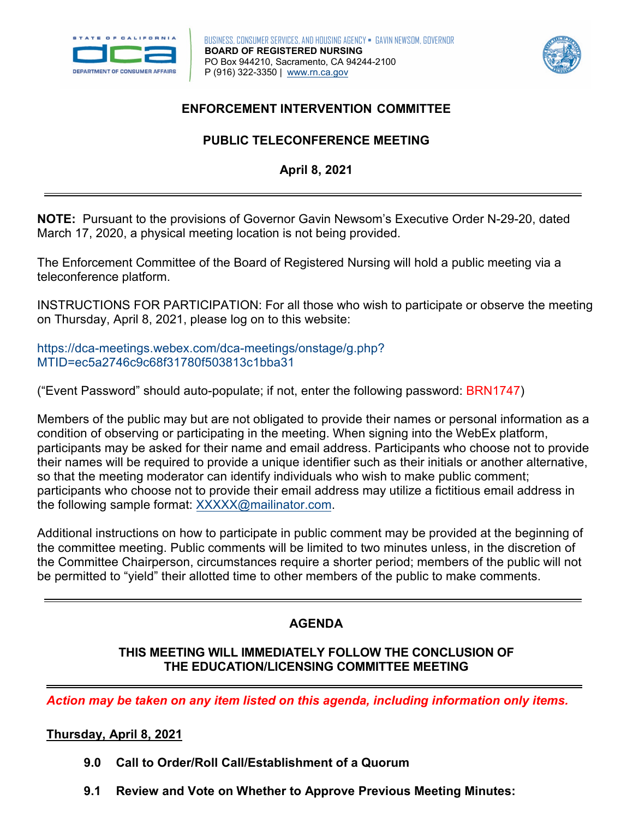



# **ENFORCEMENT INTERVENTION COMMITTEE**

# **PUBLIC TELECONFERENCE MEETING April 8, 2021**

 **NOTE:** Pursuant to the provisions of Governor Gavin Newsom's Executive Order N-29-20, dated March 17, 2020, a physical meeting location is not being provided.

The Enforcement Committee of the Board of Registered Nursing will hold a public meeting via a teleconference platform.

INSTRUCTIONS FOR PARTICIPATION: For all those who wish to participate or observe the meeting on Thursday, April 8, 2021, please log on to this website:

[https://dca-meetings.webex.com/dca-meetings/onstage/g.php?](https://dca-meetings.webex.com/dca-meetings/onstage/g.php?MTID=ec5a2746c9c68f31780f503813c1bba31) MTID=ec5a2746c9c68f31780f503813c1bba31

("Event Password" should auto-populate; if not, enter the following password: BRN1747)

 Members of the public may but are not obligated to provide their names or personal information as a condition of observing or participating in the meeting. When signing into the WebEx platform, participants may be asked for their name and email address. Participants who choose not to provide their names will be required to provide a unique identifier such as their initials or another alternative, so that the meeting moderator can identify individuals who wish to make public comment; participants who choose not to provide their email address may utilize a fictitious email address in the following sample format: XXXXX@mailinator.com.

 the Committee Chairperson, circumstances require a shorter period; members of the public will not Additional instructions on how to participate in public comment may be provided at the beginning of the committee meeting. Public comments will be limited to two minutes unless, in the discretion of be permitted to "yield" their allotted time to other members of the public to make comments.

# **AGENDA**

#### **THIS MEETING WILL IMMEDIATELY FOLLOW THE CONCLUSION OF THE EDUCATION/LICENSING COMMITTEE MEETING**

*Action may be taken on any item listed on this agenda, including information only items.* 

#### **Thursday, April 8, 2021**

- **9.0 Call to Order/Roll Call/Establishment of a Quorum**
- **9.1 Review and Vote on Whether to Approve Previous Meeting Minutes:**